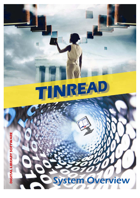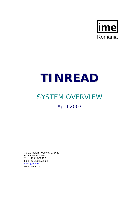

# **TINREAD**

# SYSTEM OVERVIEW

April 2007

79-91 Traian Popovici, 031422 Bucharest, Romania Tel: +40 21 321.19.91 Fax: +40 21 323.61.04 sales@ime.ro www.tinread.ro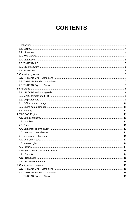# **CONTENTS**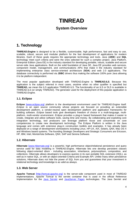# **TINREAD**

### **System Overview**

# **1. Technology**

**TINREAD.Engine** is designed to be a flexible, customizable, high performance, fast and easy to use, scalable, robust, secure and modular platform for the fast development of applications for modern libraries. Each of these goals requires the appropriate technology and tools. Java (**J2EE**) and **SQL** technology meet such criteria and were the ones selected for such a complex project. Java Platform, Enterprise Edition (Java EE) is the industry standard for developing portable, robust, scalable and secure server-side Java applications. Built on the solid foundation of Java SE, Java EE provides web services, component model, management, and communications APIs that make it the industry standard for implementing enterprise class service-oriented architecture (**SOA**) and web 2.0 applications. The database connectivity is performed via **JDBC** drivers thus making the software 100% pure Java allowing it to be platform independent.

The most popular application developed with TINREAD.Engine is **TINREAD.ILS**. Because this application is the subject referred in most cases, anytime when no other qualifier is specified but **TINREAD,** we mean the ILS application TINREAD.ILS. The functionality of an ILS or DLS is available in TINREAD.ILS (or simply TINREAD). The generator used for the deployment of this popular application is TINREAD.Engine.

#### **1.1. Eclipse**

**Eclipse** [www.eclipse.org] platform is the development environment used for TINREAD.Engine itself. *Eclipse* is an open source community whose projects are focused on providing an extensible development platform, a vendor-neutral open development platform and application frameworks for building software. *Eclipse* based tools give developers freedom of choice in a multi-language, multiplatform, multi-vendor environment. *Eclipse* provides a plug-in based framework that makes it easier to create, integrate and utilize software tools, saving time and money. By collaborating and exploiting core integration technology, tool producers can leverage platform reuse and concentrate on core competencies to create new development technology. The Eclipse Platform is written in the Java language and comes with extensive plug-in construction toolkits and examples. It has already been deployed on a range of development workstations including Linux, HP-UX, AIX, Solaris, QNX, Mac OS X and Windows based systems. The founding Strategic Developers and Strategic Consumers are Ericsson, HP, IBM, Intel, MontaVista Software, QNX, SAP and Serena Software.

#### **1.2. Hibernate**

**Hibernate** [www.hibernate.org] is a powerful, high performance object/relational persistence and query service used for data modeling in TINREAD.Engine. Hibernate lets one develop persistent classes following object-oriented idiom - including association, inheritance, polymorphism, composition, and collections. Hibernate allows developers to express queries in its own portable SQL extension (HQL), as well as in native SQL, or with an object-oriented Criteria and Example API. Unlike many other persistence solutions, Hibernate does not hide the power of SQL from you and guarantees that your investment in relational technology and knowledge is as valid as always.

#### **1.3. Web Server**

**Apache Tomcat** [http://tomcat.apache.org] is the server-side component used in most of TINREAD implementations. *Apache Tomcat* is the servlet container that is used in the official Reference Implementation for the Java Servlet and JavaServer Pages technologies. The Java Servlet and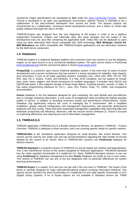JavaServer Pages specifications are developed by **Sun** under the Java Community Process. *Apache Tomcat* is developed in an open and participatory environment. *Apache Tomcat* is intended to be a collaboration of the best-of-breed developers from around the world. The *Apache* projects are characterized by a collaborative, consensus based development process, and a desire to create high quality software that leads the way in its field.

TINREAD.Engine was designed from the very beginning of the project in order to be a platform independent framework. *Eclipse* and *Hibernate* obey this basic principle and the output of this development tools are Java files containing the application itself. These files can be deployed to users using any other alternative Web Server compatible with J2EE technology. **BEA Weblogic**, **Oracle AS**, **IBM Websphere** are 100% compatible with TINREAD.Engine applications and are alternative solutions for the Web Server component.

#### **1.4. Databases**

TINREAD.Engine is a relational database platform and customers have two choices to use the database engine: as an open source or as a commercial database system. The open source choice is PostGresql [www.postgresql.org] and the commercial option is Oracle [www.oracle.com].

**PostgreSQL** is a powerful, open source relational database system. It has more than 15 years of active development and a proven architecture that has earned it a strong reputation for reliability, data integrity, and correctness. It runs on all major operating systems, including Linux, UNIX (AIX, BSD, HP-UX, SGI IRIX, Mac OS X, Solaris, Tru64), and Windows. It is fully ACID compliant, has full support for foreign keys, joins, views, triggers, and stored procedures (in multiple languages). It includes most SQL92 and SQL99 data types. It also supports storage of binary large objects, including pictures, sounds, or video. It has native programming interfaces for C/C++, Java, Perl, Python, Ruby, Tcl, ODBC, and exceptional documentation.

**Oracle** Database is the first database designed for grid computing, the most flexible and cost-effective way to manage enterprise information. It cuts costs of management while providing the highest possible quality of service. In addition to providing numerous quality and performance enhancements, Oracle Database 10*g* significantly reduces the costs of managing the IT environment, with a simplified installation, greatly reduced configuration and management requirements, and automatic performance diagnosis and SQL tuning. These and other automated management capabilities help improving DBA and developer productivity and efficiency. Moreover, with the second version (Release 2), Oracle is focused on improving efficiencies and reducing the cost of information management.

#### **1.5. TINREAD.ILS**

TINREAD application (TINREAD.ILS) is a flexible solution for libraries. As detailed in *TINREAD – Product Overview,* TINREAD is deployed in three versions, each one covering specific needs for specific markets.

**TINREAD.Mini** is the standalone application designed for small libraries, like school libraries. This version can be used by one single user and has several limitations regarding the total number of records allowed by the system to be stored. Most of TINREAD.Mini systems use **PostGresql** database for obvious reasons.

**TINREAD.Standard** is a powerful version of TINREAD.ILS and its targets are medium and large libraries. This is the Client/Server version of the system designed for Multiuser applications. TINLREAD.Standard has the entire standard functionality of a traditional ILS. Many TINREAD. Standard systems in use are using **PostGresql** for database management but also **Oracle** Database can justify its use in such cases. This version of TINREAD can use any of the two databases with no particular differences for system technical performances.

**TINREAD.Expert** is a modern DLS and you can get with it the very best of TINREAD. The Expert of the family is carefully designed for huge national/international projects involving Information Retrieval. This special version includes the entire functionality of a traditional ILS and adds specific functionality to DLS (Digital Library System). A lot of Expert options are not available in Standard version (ex. FRBR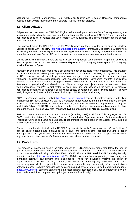cataloguing). Content Management, Real Application Cluster and Disaster Recovery components available from **Oracle** makes it the most suitable RDBMS for such projects.

#### **1.6. Client software**

Eclipse environment used by TINREAD.Engine helps developers maintain Java files representing the source code embedding the functionality of the applications. The interface of TINREAD.Engine generated applications consists of objects that users interact with at runtime. This client interface can be chosen from various options.

The standard option for TINREAD.ILS is the Web Browser interface. In order to get such an interface Eclipse is added with **Tapestry** [http://jakarta.apache.org/tapestry/] framework. Tapestry is a framework for creating dynamic, robust, highly scalable web applications in Java. Tapestry complements and builds upon the standard Java Servlet API, so it is able to work in any servlet container or application server.

On the client side TINREAD users are able to use any graphical Web Browser supporting Cookies & Java Script such as but not restricted to **Internet Explorer** (v. 5.5 or higher), **Netscape** (v. 8.0 or higher)**, Mozilla Firefox or Opera**.

*Tapestry* divides a web application into a set of pages, each constructed from components. This provides a consistent structure, allowing the *Tapestry* framework to assume responsibility for key concerns such as URL construction and dispatch, persistent state storage on the client or on the server, user input validation, localization/internationalization, and exception reporting. Developing *Tapestry* applications involves creating HTML templates using plain HTML, and combining the templates with small amounts of Java code using (optional) XML descriptor files. *Tapestry* brings true object oriented development to Java web applications. *Tapestry* is architected to scale from tiny applications all the way up to massive applications consisting of hundreds of individual pages, developed by large, diverse teams. *Tapestry* easily integrates with any kind of backend, including J2EE, HiveMind and Spring.

**SWT** (The Standard Widget Toolkit) [http://www.eclipse.org/swt/] can be alternatively used to add client interface for TINREAD application. SWT is a widget toolkit for Java designed to provide efficient, portable access to the user-interface facilities of the operating systems on which it is implemented. Using this toolkit with Eclipse, TINREAD client software can be easily deployed like native applications for the host operating system, such as **EXE** files (Windows), **ELF** binaries (Linux) or **Mac** OS X applications.

IBM has donated translations from their products (including SWT) to *Eclipse*. This language pack for SWT contains translations for German, Spanish, French, Italian, Japanese, Korean, Portuguese (Brazil), Traditional Chinese and Simplified Chinese. These translations are based on the Eclipse 3.0.1 build but should work with all 2.1 and 3.0 releases of SWT.

The recommended client interface for TINREAD systems is the Web Browser interface. Client "software" can be easily updated and maintained up to date, and different other aspects involving a better management of the system and commercial aspects are also arguments for such an approach. Even so, any other type of client interface/software as mentioned above can be produced.

#### **1.7. Procedures**

The process of managing such a complex project as TINREAD.Engine made mandatory the use of quality control procedures and comprehensive technical procedures. The model of TINREAD.Engine project was established using **ISO 9001:2001**, **ISO 15288** and **CMM Level 3** (SEI Capability Maturity Model) procedures [http://www.sei.cmu.edu/]. The CMM covers practices for planning, engineering, and managing software development and maintenance. These key practices improve the ability of organizations to meet goals for cost, schedule, functionality, and product quality. The *CMM* establishes a yardstick against which it is possible to control, in a repeatable way, the maturity of an organization's software process. Software modeling was achieved using all levels of **UML** (Unified Modelling Language) [http://www.uml.org/] standard starting with the most general description of Modules interaction down to Function lists and their complete description (input, output, functionality).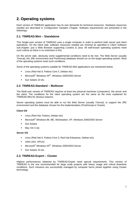# **2. Operating systems**

Each version of TINREAD application has its own demands for technical resources. Hardware resources needed are described in *Configuration Samples* Chapter. Software requirements are presented in the followings.

#### **2.1. TINREAD.Mini – Standalone**

This Single-user version of TINREAD uses a single computer in order to perform both server and client operations. On the client side, software resources needed are minimal as specified in *Client Software* sub-chapter: just a Web Browser supporting *Cookies & Java*. All well-known operating systems meet such criteria so there is no restriction in this.

On the server side, obviously some supplemental conditions need to be met. The Web Server (usually *Tomcat*), the JRE environment and PostGresql database should run on the target operating system. Most of the operating systems meet such conditions.

Some of the operating systems suitable for TINREAD.Mini applications are mentioned below.

- Linux (Red Hat 9, Fedora Core 3, Debian etc)
- Microsoft® Windows XP®, Windows 2000/2003 Server
- **Sun Solaris 10 etc.**

#### **2.2. TINREAD.Standard – Multiuser**

The Multi-user version of TINREAD requires at least two physical machines (computers): the server and the client. The conditions for the client operating system are the same as the ones explained for TINREAD.Mini for obvious reasons.

Server operating system must be able to run the Web Server (usually *Tomcat*), to support the JRE environment and the database chosen for the implementation (PostGresql or Oracle).

#### **Client OS**

- **Linux (Red Hat, Fedora, Debian etc)**
- Microsoft<sup>®</sup> Windows 98, ME, Workstation, XP, Windows 2000/2003 Server
- **Sun Solaris**
- Mac OS X etc.

#### **Server OS**

- **E** Linux (Red Hat 9, Fedora Core 3, Red Hat Enterprise, Debian etc)
- UNIX (AIX, HPUX)
- Microsoft® Windows XP®, Windows 2000/2003 Server
- **Sun Solaris 10 etc.**

#### **2.3. TINREAD.Expert – Cluster**

Highest performances obtained by TINREAD.Expert need special requirements. This version of TINREAD is the one recommended for large scale projects with heavy usage and critical downtime conditions. Such missions are successfully managed by computer farms joined together using Cluster technology.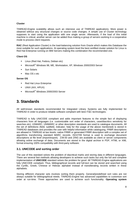#### **Cluster**

TINREAD.Engine scalability allows such an intensive use of TINREAD applications. More power is obtained without any structural changes or source code changes. A simple use of Cluster technology supposes to start using the application with one single server. Afterwards, if the load of this initial machine is critical, another server can be added thus making a group of servers working in a cooperative mode to process client requests.

**RAC** (Real Application Cluster) is the load-balancing solution from Oracle which makes this Database the most suitable for such applications. At operating system level the best certified cluster solution for Linux is Red Hat Enterprise running on IBM Servers making this combination the recommended one.

#### **Client OS**

- **Linux (Red Hat, Fedora, Debian etc)**
- Microsoft<sup>®</sup> Windows 98, ME, Workstation, XP, Windows 2000/2003 Server
- **Sun Solaris**
- **Mac OS x etc.**

#### **Server OS**

- Red Hat Linux Enterprise
- **UNIX (AIX, HPUX)**
- Microsoft<sup>®</sup> Windows 2000/2003 Server

### **3. Standards**

All well-known standards recommended for Integrated Library Systems are fully implemented for TINREAD in order to produce reliable software compliant with best IT&C technologies.

TINREAD is fully UNICODE compliant and adds important features to the simple fact of displaying characters from all languages (i.e. customizable sort order of characters, case/diacritics sensitivity for searches etc). USMARC, UNIMARC or other description standards are used to catalogue documents. All the set of definitions (field, subfield, indicator, help for the usage of the above mentioned) is stored in TINREAD databases and provides the user with helpful information while cataloguing. FRBR descriptions are allowed in TINREAD at two levels: native FRBR or generated FRBR description with a complex set of algorithms transforming standard MARC records. ISO2709 format is used to exchange document descriptions at file level (import/export). Z39.50 and ZING are available as client or server components allowing online exchange of data. Documents are stored in the digital archive in PDF, HTML or XML format ensuring 100% compatibility with third-party software.

#### **3.1. UNICODE and sorting order**

The use of this standard solves the problem of diacritical marks and storing data in different languages. There are several fast methods allowing developers to achieve such tasks but only the full and complete implementation of **UNICODE** standard solves the problem for good. All TINREAD.Engine applications are fully UNICODE compliant. Thus, bibliographical records and full-text can be stored and searched using the Cyrillic, Greek, Chinese or Hebraic alphabet instead of transliterating records written in these alphabets.

Storing different character sets involves sorting them properly. General/predefined sort rules are not always suitable for bibliographical needs. TINREAD.Engine has advanced capabilities to customize sort order at run-time. Three approaches are used to achieve such functionality. **Operating system**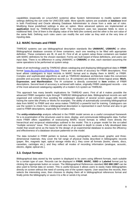capabilities (especially on Linux/UNIX systems) allow System Administrator to modify system wide settings defining the sort order for UNICODE table. More specific options are available at **database** level in both PostGresql and Oracle allowing Database Administrator to chose from a wide set of rules. Modifying these predefined settings is also an option. More advanced options are implemented at **application** level by TINREAD.Engine itself. The mechanism uses two separate fields to store a traditional field. One of them is the display value of the field (the content) and the other is the sort value of the same field. Defining such rules users can modify the sort order as they wish at the very time of inputing data.

#### **3.2. MARC formats and FRBR**

TINREAD systems can use bibliographical description standards like **UNIMARC**, **USMARC** or other. Bibliographical database consists of three containers, each one needing to be filled with appropriate definition. These containers are /B, /A and /H. First of all, at system setup these containers are loaded with MARC definitions for the chosen standard. Forms are built based of these definitions, and users can input data. There is no difference in using UNIMARC or **CNMARC** or else, each standard assuming the same operations to be performed at system setup.

State-of-art technology used by TINREAD allows cataloguing and displaying bibliographical data in **FRBR** format [www.ifla.org/VII/s13/frbr/frbr.htm]. There are two levels of accuracy for FRBR descriptions. First level allows cataloguers to input records in MARC format and to display them in MARC or FRBR. Complex and sophisticated algorithms as well as TINREAD database architecture make this conversion possible and accurate. Bibliographical records (i.e. /B container) are divided in three logical areas: **Work**, **Expression**, **and Manifestation**. The /H container is directly connected to **Item** entities of FRBR descriptions. Second level of accuracy is achieved with native, originally FRBR catalogued records – one of the most advanced cataloguing capability of a modern ILS system as TINREAD.

This approach has many benefic implications for TINREAD users. First of all it makes possible the advanced FRBR navigation style through TINREAD bibliographical data. Bibliographical records are well organized and coherent thus avoiding the unpleasant situation of several screen pages with records having the same title (Poetry or Works for example). The ability of automatically converting bibliographical data from MARC to FRBR and vice versa makes TINREAD a powerful tool for training. Cataloguers can use the system to check how a bibliographical description is represented in each format and also to get used to FRBR descriptions, especially for complex ones.

The **entity-relationship** analysis reflected in the FRBR model serves as a useful conceptual framework for a re-examination of the structures used to store, display, and communicate bibliographic data. Further more FRBR offers capabilities of restructuring MARC record formats to reflect more directly the hierarchical and reciprocal relationships outlined in the model. This is a proper model for the so-called "multiple versions" issue. This model could also be expanded in depth to create a fully developed data model that would serve as the basis for the design of an experimental database to assess the efficiency and effectiveness of a database structure patterned on the model.

The data included in FRBR pertain to textual, music, cartographic, audio-visual, graphic and threedimensional materials; they cover the full range of physical media described in bibliographic records (paper, film, magnetic tape, optical storage media etc.); they cover all formats (books, sheets, discs, cassettes, cartridges etc.); and they reflect all modes of recording information (analogue, acoustic, electric, digital, optical etc.).

#### **3.3. Output formats**

Bibliographical data stored by the system is displayed to its users using different formats, each suitable for a certain type of user. Records can be displayed in **FRBR**, **MARC**, **ISBD** or **Labeled** format just by clicking the appropriate button on screen. The Bibliographical References standard **ISO 690:1987** can be also used to format data on screen. This is useful because it allows users to easily make bibliographies directly on screen without the need of running one of the system reports. User searches the records, then selects the interesting ones, then chooses to display them all in bibliographical references format and finally prints the bibliography or saves it to a file or sends it by email.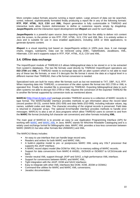More complex output formats assume running a report option. Large amount of data can be searched, sorted, indexed, sophisticatedly formatted finally producing a report file in any of the following formats: **RTF**, **PDF**, **HTML**, **XLS**, **CSV** and **XML**. Report generation is fully customizable in TINREAD and interactive tools allow System Administrator to define or customize reports simply by drag&drop. **JasperReports** and the interactive report development tool **iReport** are used for such tasks.

**JasperReports** is a powerful open source Java reporting tool that has the ability to deliver rich content onto the screen, to the printer or into RTF, PDF, HTML, XLS, CSV and XML files. It is entirely written in Java and is suitable for use in Java enabled applications, including J2EE or Web applications, to generate dynamic content.

**iReport** is a visual reporting tool based on JasperReports written in 100% pure Java. It can manage charts, images, subreports. Data can be retrieved using JDBC, TableModels, JavaBeans, XML, Hibernate, CSV and it supports output in RTF, PDF, HTML, XLS, CSV and XML.

#### **3.4. Offline data exchange**

The Import/Export module of TINREAD.ILS allows bibliographical data to be stored in or to be extracted from system's databases. The two file formats used directly by TINREAD Import/Export operations are **ISO 2709** and **XML**. If TINREAD needs to exchange data with an alien system which is not able to read any of these two file formats, or even if it decrypts the file format it stores the data at a logical level in a different manner than TINREAD, then a file format conversion is needed.

Specialized tools are built for many other file formats such as but not restricted to TXT, DBF, XLS, RTF. When importing data into TINREAD, a conversion of the alien system file format into ISO 2709 or XML is operated first. Finally the resulted file is processed by TINREAD. Exporting bibliographical data to such alien systems not able to decrypt ISO 2709 or XML requires the conversion of the exported TINREAD file to another file format supported by conversion tools as mentioned above.

**MARC4J** [http://marc4j.tigris.org/] package provides TINREAD access to a collection of MARC records in tape format. The MARCHandler interface provides methods to get information about the record label (record position 00-23), control fields (001-009) and data fields (010-999), including indicator values, tag names, subfield codes and data. The character encoding of the original records is preserved. Field data is returned in character arrays. The optional ErrorHandler interface provides methods to handle error messages. MARC4J is also a set of Java programs which allow TINREAD users to convert to and from the **MARC** file format (including full character set conversion) and other formats including **XML**.

The main goal of MARC4J is to provide an easy to use Application Programming Interface (API) for working with MARC and MARC XML in Java. MARC stands for MAchine Readable Cataloguing and is a widely used exchange format for bibliographic data. MARC XML provides a loss-less conversion between MARC (MARC21 but also other formats like UNIMARC) and XML.

The MARC4J library includes:

- An easy to use interface that can handle large record sets;
- Readers and writers for both MARC and MARC XML;
- A build-in pipeline model to pre- or postprocess MARC XML using any XSLT processor that supports the JAXP interface;
- A MARC record object model (like DOM for XML) for in-memory editing of MARC records;
- Support for data conversions from MARC-8 ANSEL, ISO5426 or ISO6937 to UCS/Unicode and back;
- Vendor neutral XML support through JAXP and SAX2, a high performance XML interface;
- Support for conversions between MARC and MARC XML;
- Tight integration with the JAXP, DOM and SAX2 interfaces;
- Easy to integrate with other XML interfaces like DOM, XOM, JDOM or DOM4J;
- Command-line utilities for MARC and MARC XML conversions;
- Javadoc documentation.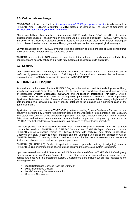#### **3.5. Online data exchange**

**Z39.50-2003** protocol as defined by http://lcweb.loc.gov/z3950/agency/document.html is fully available in TINREAD. Also, TINREAD is oriented to **ZING** protocol as defined by The Library of Congress at www.loc.gov/z3950/agency/zing/zing-home.html.

**Client** capabilities allow multiple, simultaneous Z39.50 calls from OPAC to different outside bibliographical sources. Together with an algorithm used for data de-duplication TINREAD OPAC gains the power of a Collective Catalogue allowing users to simultaneously view many different catalogues (from different libraries or from the same library) grouped together like one single (logical) catalogue.

**Server** capabilities allow TINREAD systems to be aggregated in complex projects, libraries consortiums, national collective (federal, shared) catalogues or else.

**TINREAD** is committed to **SIP2** protocol is order for its future releases to easily integrate self-checking equipments and security solutions aiming to fully automate bibliographic units circulation.

#### **3.6. Security**

Users authentication is mandatory in order to establish their access rights. This procedure can be performed by password authentication or LDAP integration. Communication between client and server is encrypted using a **x.509** digital certificate according to **ISO/IEC 17799**.

## **4. TINREAD.Engine**

As mentioned in the above chapters TINREAD.Engine is the platform used for the deployment of library specific applications (ILS) or other as shown in the following. This powerful set of tools includes two types of databases: **System Databases** (**SYSDBA**) and **Application Databases** (**APPDBA**). System Databases store all definitions, data and configuration parameters that define a specific application. Application Databases consist of several Containers (sets of databases) defined using a high level of data modeling thus allowing any library specific database to be obtained as a particular case of the generalized form.

Application development means in TINREAD.Engine terms, loading System Databases. This can be, and actually is performed by System Administrator based on the Application Implementation Plan. SYSDBA also stores the behavior of the generated application. Data input methods, validation, flow of inputted data, store and retrieval procedures and also application output are configured by data stored in SYSDBA. The highest degree of customization is guaranteed by these flexible procedures.

The most popular family of applications built with TINREAD.Engine is **TINREAD.ILS** with its three constructive versions: TINREAD.Mini, TINREAD.Standard and TINREAD.Expert. One can consider TINREAD.Mini as a specific version of TINREAD.Engine with particular data stored in SYSDBA. Modifying this data, system is easily changed and the upgraded version of the application will be TINREAD.Standard. Of course, such a procedure assumes that hardware requirements are met for the final product obtained as a result of the upgrade procedure.

TINREAD (TINREAD.ILS) family of applications means properly defining (configuring) data in TINREAD.Engine environment and afterwards just deploying the generated system to its users.

Up to now several standard (ILS) or extended (DLS) modules are defined in TINREAD.ILS: Cataloguing, Circulation, Acquisitions, Serials Control, ILL or else. Other similar or connected modules can be easily defined and used with this integrated system. Development plans include but are not restricted to the following modules:

- Digital References Services (*"Ask the Librarian"*)
- **-** Digital Documents Delivery
- **Local Community Services Information**
- University Curricula etc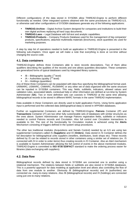Different configurations of the data stored in SYSDBA allow TINREAD.Engine to perform different functionality as needed. Other integrated systems obtained with the same procedures as TINREAD.ILS, or otherwise said other configurations of SYSDBA databases generate any of the following applications:

- **TINREAD.Archive** Digital Archive System designed for companies and institutions to build their own digital archives replacing all hard copy documents.
- **TINREAD.Laws** Legal Database with full-text and analytic capabilities.
- **TINREAD.Products** Company Products Database used for the management of big companies' products, specifications, attached multimedia materials (brochures), stock quantities etc used for marketing purposes.

A step by step list of operations needed to build an application in TINREAD.Engine is presented in the following sub-chapters. Once again we will make a note that everything is done at run-time without changing the source code.

#### **4.1. Data containers**

TINREAD.Engine defines three Containers able to store records descriptions. Two of them allow qualifiers describing the qualities of the records and one allows quantities description. These containers are generalized forms of typical databases used by integrated library systems.

- $\blacksquare$  /B Bibliographic (quality 1<sup>st</sup> level)
- $\blacktriangleright$  /A Authorities (quality  $2^{nd}$  level)
- $H Holdinas$  (quantities)

Any of these three Containers can be populated with data thus specifying the bibliographical format used. UNIMARC, USMARC, CNMARC, RUSMARC or any other set of data organized with the same structure can be inputted in SYSDBA containers. This way, fields, subfields, indicators, allowed values and validation rules, associated labels, contextual help or other information are defined at run-time by System Administrator (**SA**). Two or more definition sets can coexists in TINREAD at the same time allowing bibliographical records to be stored in different MARC formats in the same TINREAD implementation.

Data available in these Containers are directly used to build application Forms. Using forms application input is performed and the collected data (bibliographical data) is stored in APPDBA databases.

Further on supplemental Containers are defined by TINREAD.Engine. **Patrons** Container (/P) and **Transactions** Container (/T) are two other fully customizable sets of databases with similar structures as the ones above. System Administrator can manage Patrons registration fields, subfields or indicators needed to control Patrons records and Circulation. Also full control over Circulation transactions is available to SA. The rest of the functionality for Circulation module is achieved using the **Alerts** Mechanism consisting of triggers defined in the system setup procedures.

The other two traditional modules (Acquisitions and Serials Control) needed by an ILS are using two supplemental Containers called /S (**Suppliers**) and /O (**Orders**). Data stored in /S Container defines the full description for bibliographical units suppliers (resellers, distributors, book shops etc). These records defined by /S can be related to records stored in other containers using a similar set of relations (ex. /S connected with /H in order to order items) thus creating records in /O Container. Also an Alert mechanism is available to System Administrator allowing the full control of events in the above mentioned modules. TINREAD.Engine is committed to **ISO 9735 EDIFACT** standard to make the ordering process easier for libraries (data exchanging with suppliers).

#### **4.2. Data flow**

Bibliographical records defined by data stored in SYSDBA are connected one to another using a relational mechanism. The relations between fields or subfields are also stored in SYSDBA databases. This is a powerful approach for data modeling at application level and allows also controlling the flow of data from one module to another. Obviously /B (bibliographical records) and /A (authorities) are connected via *many-to-many* relations. Also /B (bibliographical records) and /H (holdings) are connected using just *one-to-many* relations.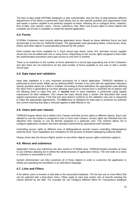The flow of data inside APPDBA databases is fully customizable. Also the flow of data between different departments of the library is performed. Each library has its own specific activities and organization chart and needs a system capable to be perfectly mapped on these. Allowing SA to configure forms, relations, flow of data, user classes, users, menus, submenus, lists, filters and access rights to these objects the complete set of tools is available to model the desired application.

#### **4.3. Forms**

SYSDBA Containers store records defining application forms. Based on these definition forms are built dynamically at run-time by TINREAD.Engine. The appropriate code generating labels, check-boxes, dropdowns and other objects is automatically produced by the system.

Each module has forms available for it. Each record type (book, serial, A/V, borrower record, supplier record etc) can be edited with one or many forms. Depending on the access rights assigned to them after the authentication procedure users gain access to one form or another.

There is no restriction in the number of forms attached to a record type populating one of the Containers and also there are not restrictions for the total number of forms available to one user to edit a certain record type.

#### **4.4. Data input and validation**

Input data validation is a very important procedure for a robust application. TINREAD validation is performed at three levels. **First**, just by defining MARC formats to be used with the application indicators specify possible values for a field or subfield. According to these definitions the appropriate code defining the input Form is generated at run-time allowing users just to choose from a restricted set of options and not allowing them to input free text. A **second** level of input validation is performed using regular expressions for field validation. This means the input should obey a certain rule described with usual regular expressions syntax. If the free text input doesn't conforms to the validation rule user is requested to make the appropriate adjustments. The **third** level of validation for data input is achieved via authority lists control meaning that data is checked against a table filtered or not.

#### **4.5. Users and user classes**

TINREAD.Engine allows SA to define User Classes and their access rights to different objects. Each user allowed to use the system is assigned to one or more User Classes. Access rights are inherited from the attached User Classes or can be directly assigned to a particular user. This scheme allows SA to configure application modules and each operation performed by specialized stuff members.

Controlling access rights to different area of bibliographical records means controlling bibliographical authority level. Such capabilities are mandatory for the process of shared cataloguing (national wide).

Please check also the *Access Rights* section to see which objects access rights restrictions apply to.

#### **4.6. Menus and submenus**

Application menus and submenus are also stored in SYSDBA area. TINREAD.Engine provides an easy to use interface allowing SA to define the whole structure of application menus. The end node of a menu or submenu is associated to a list.

System Administrator can fully customize all of these objects in order to customize the application or simply just operating the translation in an alternative language.

#### **4.7. Lists and Filters**

A list allows users to browse or edit data in the associated database. The list has one or more filters that can be selected with a drop-down menu. Filters apply to view only certain sets of records meeting the criteria defined by the filter. For example SA can configure different filters for Transactions database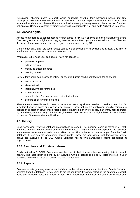(Circulation) allowing users to check which borrowers overdue their borrowing period first time (appropriate filter defined) or second time (another filter). Another simple application is to associate filters to Authorities database. Different filters are defined at startup allowing users to check the list of Authors or Editors or Corporate Authors by simply selecting the appropriate filter applied to Authorities Database.

#### **4.8. Access rights**

Access rights defined to control access to data stored in APPDBA apply to all objects available to users. One user gains access rights after logging into the system. User rights are inherited from User Class(es) the user belongs to or can be directly assigned to a particular user by SA.

Menus, submenus and lists (end nodes) can be either available or unavailable to a user. One filter or another can also be active or not for a particular user.

When a list is browsed user can have or have not access to:

- just browsing data
- **adding records**
- modifying existing records
- **deleting records**

Using a form users gain access to fields. For each field users can be granted with the following:

- no access at all
- view the field
- **EXECUTE:** insert new values for the field
- modify the field
- delete the field (any occurrences but not all of them)
- deleting all occurrences of a field

Please make a note this section does not include access at application level (ex. "maximum loan limit for a certain borrower class" or anything else similar). These values are application specific parameters defined at application setup phase (user classes, branches, borrower classes, loan limits, access limited by IP address, time:hour etc). TINREAD.Engine setup refers especially to a higher level of customization: properties of the **generated application**.

#### **4.9. History**

Each transaction involving database modifications is logged. The modified record is stored in a Trash database and can be recovered at any time. Also a timestamp is generated, a description of the operation and the user name are attached to the modified record. Finally the record can be purged from the Trash database if user has the appropriate access rights. These are application level transaction logging capabilities available in TINREAD. Oracle Database has its own transactions logging capabilities at physical level.

#### **4.10. Searches and Runtime indexes**

Fields defined in SYSDBA Containers can be used to build indexes thus generating data to search against. This association is done by SA allowing runtime indexes to be built. Fields involved in user searches and their order on the screen are also defined by SA.

#### **4.11. Reports**

Complex reports grouping large amount of data can be defined using interactive tools. Data is first of all selected from the database using search forms defined by SA by simply selecting the appropriate search fields and validation rules that apply to them. Then application databases are searched to meet user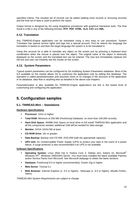specified criteria. The resulted set of records can be edited (adding more records or removing records) and the final set of data is used to perform the report.

Output format is designed by SA using drag&drop procedures with graphical interactive tools. The final result is a file in any of the following formats: **RTF**, **PDF**, **HTML**, **XLS**, **CSV** and **XML**.

#### **4.12. Translation**

Any TINREAD.Engine application can be translated using a very easy to use procedure. System Translator has special access rights and logs into a special account. First he selects the language the translation is based on and then the target language the system is to be translated in.

Using this account he is able to translate any object on the screen just by pressing a keyboard keys combination when the mouse is placed over the object. The original value of the object is obviously displayed on the screen and the translated text can be entered. The new text immediately replaces the old one and user can instantly see the results on the screen.

#### **4.13. System Parameters**

Typical system parameters can be configured by SA modifying System Parameters database. Most of the ILS available on the market allows SA to customize the application only by editing this database. The operation is called parameterization and assumes minor or no changes in the structure of the application or its database, data flow or anything else as detailed in the above sub-chapters.

Parameterization is also available for TINREAD.Engine applications but this is the lowest level of customizing and configuring the application.

## **5. Configuration samples**

#### **5.1. TINREAD.Mini – Standalone**

#### **Hardware Specifications**

- **Processor:** 1Ghz or higher.
- **Total RAM:** Minimum of 256 MB (PostGresql Database, no more than 100,000 records).
- **Hard Disk Space:** 450MB Disk Space on local drive to full install TINREAD.Mini application and all the components needed; additional 1GB will be needed for data storage.
- **Monitor**: SVGA 1024x768 at least.
- **CD-ROM Drive**: 16x or greater.
- **Data Backup:** Backup Unit CD-RW, DVD-RW (with the appropriate capacity).
- **UPS Unit:** An Uninterruptible Power Supply (UPS) to protect your data in the event of a power failure. A surge protector is also recommended if an UPS is not available.

#### **Software Specifications**

- **Operating System:** Linux (Red Hat 9, Fedora Core 3, Debian etc), Solaris 10, Microsoft® Windows XP®, Windows 2000/2003 Server. You must have installed the latest available Patches and/or Service Packs from Microsoft. See Microsoft webpage to obtain the latest versions.
- **Database**: PostGresql 8.0 or higher (recommended), Oracle 10g or higher.
- **Web Server**: Tomcat 5.x
- **Web Browser**: Internet Explorer (v. 5.5 or higher), Netscape (v. 8.0 or higher), Mozilla Firefox, Opera.

*TINREAD.Mini System Requirements are subject to change.*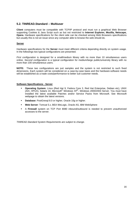#### **5.2. TINREAD.Standard – Multiuser**

**Client** computers must be compatible with TCP/IP protocol and must run a graphical Web Browser supporting Cookies & Java Script such as but not restricted to **Internet Explorer, Mozilla, Netscape, Opera**. Hardware specifications for the client side can be checked among Web Browsers specifications but usually this is not an issue since any computer able to browse the web should do.

#### **Server**

Hardware specifications for the **Server** must meet different criteria depending directly on system usage. In the followings two typical configurations are presented.

*First configuration* is designed for a small/medium library with no more than 10 simultaneous users online. *Second configuration* is a typical configuration for medium/large public/university library with no more than 100 simultaneous users.

**NOTE:** These two configurations are just samples and the system is not restricted to such fixed dimensions. Each system will be considered on a case-by-case basis and the hardware-software needs will be established as a trade costs/performance to better suit customer needs.

#### **Software Specifications - Server**

- **Operating System:** Linux (Red Hat 9, Fedora Core 3, Red Hat Enterprise, Debian etc), UNIX (AIX, HPUX), Solaris 10, Microsoft® Windows XP® , Windows 2000/2003 Server. You must have installed the latest available Patches and/or Service Packs from Microsoft. See Microsoft webpage to obtain the latest versions.
- **Database**: PostGresql 8.0 or higher, Oracle 10g or higher.
- **Web Server**: Tomcat 5.x, BEA WeLogic, Oracle AS, IBM WebSphere
- A **Firewall** system on TCP Port 8080 inbound/outbound is needed to prevent unauthorized accesses to the server.

*TINREAD.Standard System Requirements are subject to change.*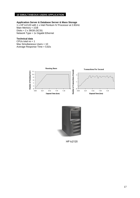#### **10 SIMULTANEOUS USERS APPLICATION**

#### **Application Server & Database Server & Mass Storage**

1 x HP tc2120 with 1 x Intel Pentium IV Processor at 2.8GHz Main Memory = 1GB Disks = 2 x 36GB (SCSI) Network Type =  $1x$  Gigabit Ethernet

#### **Technical data**

CPUs total  $no = 1$ Max Simultaneous Users = 10 Average Response Time = 0,82s





HP tc2120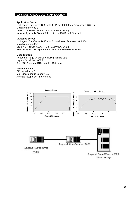#### **100 SIMULTANEOUS USERS APPLICATION**

#### **Application Server**

1 x Legend SureServerT630 with 4 CPUs x Intel Xeon Processor at 3.0GHz Main Memory = 8GB Disks = 1 x 18GB (SEAGATE ST318406LC SCSI) Network Type = 1x Gigabit Ethernet + 1x 100 BaseT Ethernet

#### **Database Server**

1 x Legend SureServerT630 with 2 x Intel Xeon Processor at 3.0GHz Main Memory = 3GB Disks = 1 x 18GB (SEAGATE ST318406LC SCSI) Network Type = 1x Gigabit Ethernet + 1x 100 BaseT Ethernet

#### **Mass Storage**

Needed for large amounts of bibliographical data. Legend SureFiber 400R2 6 x 18GB (Seagate ST318452FC 15K rpm)

#### **Technical data**

CPUs total  $no = 6$ Max Simultaneous Users = 100 Average Response Time = 0,63s

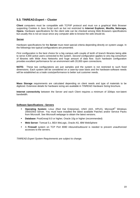#### **5.3. TINREAD.Expert – Cluster**

**Client** computers must be compatible with TCP/IP protocol and must run a graphical Web Browser supporting Cookies & Java Script such as but not restricted to **Internet Explorer, Mozilla, Netscape, Opera**. Hardware specifications for the client side can be checked among Web Browsers specifications but usually this is not an issue since any computer able to browse the web should do.

#### **Server**

Hardware specifications for the **Server** must meet special criteria depending directly on system usage. In the followings two typical configurations are presented.

*First configuration* is the best choice for a big campus with couple of tenth of branch libraries being able to serve 4,000 active users connected to the system. *Second configuration* applies to very big consortium of libraries with Wide Area Networks and huge amount of data flow. Such hardware configuration provides excellent performance for an environment with 20,000 open connections.

**NOTE:** These two configurations are just samples and the system is not restricted to such fixed dimensions. Each system will be considered on a case-by-case basis and the hardware-software needs will be established as a trade costs/performance to better suit customer needs.

**Mass Storage** requirements are calculated depending on client needs and type of materials to be digitized. Extensive details for hardware sizing are available in *TINREAD Hardware Sizing* brochure.

**Internet connectivity** between the Server and each Client requires a minimum of 32kbps non-latent bandwidth.

#### **Software Specifications - Servers**

- **Operating System:** Linux (Red Hat Enterprise), UNIX (AIX, HPUX), Microsoft® Windows 2000/2003 Server. You must have installed the latest available Patches and/or Service Packs from Microsoft. See Microsoft webpage to obtain the latest versions.
- **Database**: PostGresql 8.0 or higher, Oracle 10g or higher (recommended)
- **Web Server**: Tomcat 5.x, BEA WeLogic, Oracle AS, IBM WebSphere
- A **Firewall** system on TCP Port 8080 inbound/outbound is needed to prevent unauthorized accesses to the servers.

*TINREAD.Expert System Requirements are subject to change.*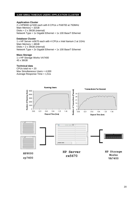#### **4,000 SIMULTANEOUS USERS APPLICATION CLUSTER**

#### **Application Cluster**

2 x HP9000 rp7400 each with 8 CPUs x PA8700 at 750MHz Main Memory = 32GB Disks =  $2 \times 36GB$  (internal) Network Type = 1x Gigabit Ethernet + 1x 100 BaseT Ethernet

#### **Database Cluster**

1 x HP Server rx5670 each with 4 CPUs x Intel Itanium 2 at 1GHz Main Memory = 48GB Disks =  $2 \times 36GB$  (internal) Network Type = 2x Gigabit Ethernet + 1x 100 BaseT Ethernet

#### **Mass Storage**

1 x HP Storage Works VA7400 45 x 36GB

#### **Technical data**

CPUs total no = 20 Max Simultaneous Users = 4,000 Average Response Time = 1,51s